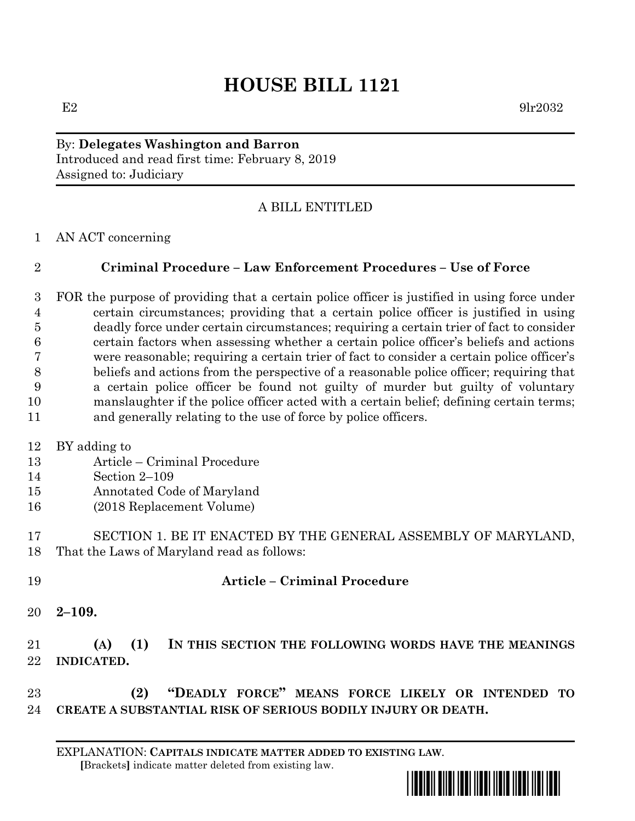# **HOUSE BILL 1121**

 $E2 \qquad \qquad 9\text{lr}2032$ 

By: **Delegates Washington and Barron** Introduced and read first time: February 8, 2019 Assigned to: Judiciary

# A BILL ENTITLED

AN ACT concerning

# **Criminal Procedure – Law Enforcement Procedures – Use of Force**

 FOR the purpose of providing that a certain police officer is justified in using force under certain circumstances; providing that a certain police officer is justified in using deadly force under certain circumstances; requiring a certain trier of fact to consider certain factors when assessing whether a certain police officer's beliefs and actions were reasonable; requiring a certain trier of fact to consider a certain police officer's beliefs and actions from the perspective of a reasonable police officer; requiring that a certain police officer be found not guilty of murder but guilty of voluntary manslaughter if the police officer acted with a certain belief; defining certain terms; and generally relating to the use of force by police officers.

BY adding to

- Article Criminal Procedure
- Section 2–109
- Annotated Code of Maryland
- (2018 Replacement Volume)
- SECTION 1. BE IT ENACTED BY THE GENERAL ASSEMBLY OF MARYLAND, That the Laws of Maryland read as follows:
- 

## **Article – Criminal Procedure**

**2–109.**

# **(A) (1) IN THIS SECTION THE FOLLOWING WORDS HAVE THE MEANINGS INDICATED.**

 **(2) "DEADLY FORCE" MEANS FORCE LIKELY OR INTENDED TO CREATE A SUBSTANTIAL RISK OF SERIOUS BODILY INJURY OR DEATH.**

EXPLANATION: **CAPITALS INDICATE MATTER ADDED TO EXISTING LAW**.  **[**Brackets**]** indicate matter deleted from existing law.

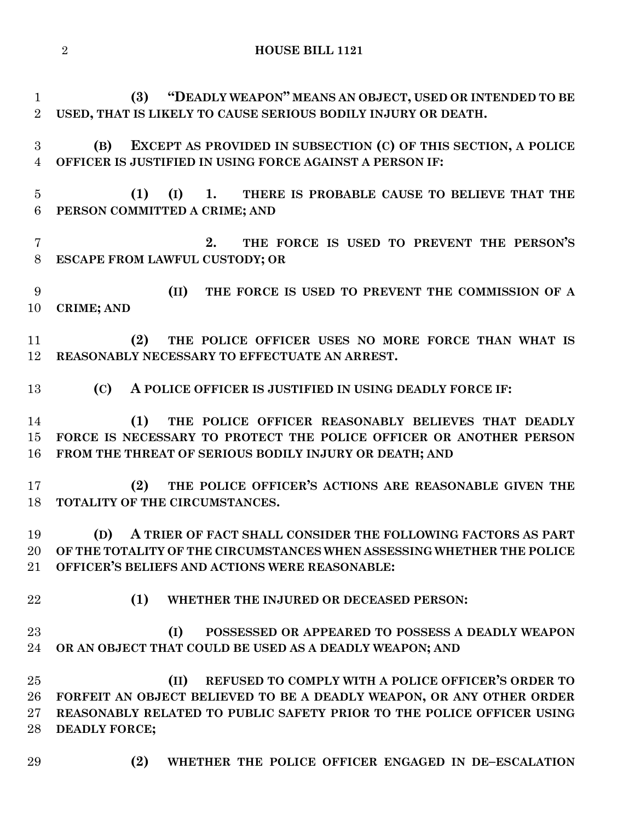**(3) "DEADLY WEAPON" MEANS AN OBJECT, USED OR INTENDED TO BE USED, THAT IS LIKELY TO CAUSE SERIOUS BODILY INJURY OR DEATH. (B) EXCEPT AS PROVIDED IN SUBSECTION (C) OF THIS SECTION, A POLICE OFFICER IS JUSTIFIED IN USING FORCE AGAINST A PERSON IF: (1) (I) 1. THERE IS PROBABLE CAUSE TO BELIEVE THAT THE PERSON COMMITTED A CRIME; AND 2. THE FORCE IS USED TO PREVENT THE PERSON'S ESCAPE FROM LAWFUL CUSTODY; OR (II) THE FORCE IS USED TO PREVENT THE COMMISSION OF A CRIME; AND (2) THE POLICE OFFICER USES NO MORE FORCE THAN WHAT IS REASONABLY NECESSARY TO EFFECTUATE AN ARREST. (C) A POLICE OFFICER IS JUSTIFIED IN USING DEADLY FORCE IF: (1) THE POLICE OFFICER REASONABLY BELIEVES THAT DEADLY FORCE IS NECESSARY TO PROTECT THE POLICE OFFICER OR ANOTHER PERSON FROM THE THREAT OF SERIOUS BODILY INJURY OR DEATH; AND (2) THE POLICE OFFICER'S ACTIONS ARE REASONABLE GIVEN THE TOTALITY OF THE CIRCUMSTANCES. (D) A TRIER OF FACT SHALL CONSIDER THE FOLLOWING FACTORS AS PART OF THE TOTALITY OF THE CIRCUMSTANCES WHEN ASSESSING WHETHER THE POLICE OFFICER'S BELIEFS AND ACTIONS WERE REASONABLE: (1) WHETHER THE INJURED OR DECEASED PERSON: (I) POSSESSED OR APPEARED TO POSSESS A DEADLY WEAPON OR AN OBJECT THAT COULD BE USED AS A DEADLY WEAPON; AND (II) REFUSED TO COMPLY WITH A POLICE OFFICER'S ORDER TO FORFEIT AN OBJECT BELIEVED TO BE A DEADLY WEAPON, OR ANY OTHER ORDER REASONABLY RELATED TO PUBLIC SAFETY PRIOR TO THE POLICE OFFICER USING DEADLY FORCE; (2) WHETHER THE POLICE OFFICER ENGAGED IN DE–ESCALATION** 

#### **HOUSE BILL 1121**